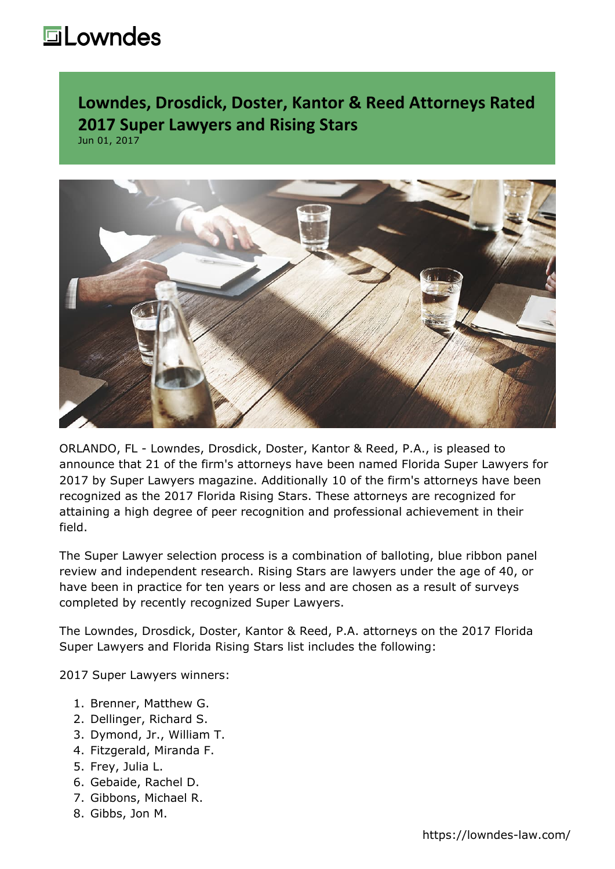## **howndes**

**Lowndes, Drosdick, Doster, Kantor & Reed Attorneys Rated 2017 Super Lawyers and Rising Stars** Jun 01, 2017



ORLANDO, FL - [Lowndes, Drosdick, Doster, Kantor & Reed, P.A.,](https://www.lowndes-law.com/) is pleased to announce that 21 of the firm's attorneys have been named Florida Super Lawyers for 2017 by Super Lawyers magazine. Additionally 10 of the firm's attorneys have been recognized as the 2017 Florida Rising Stars. These attorneys are recognized for attaining a high degree of peer recognition and professional achievement in their field.

The Super Lawyer selection process is a combination of balloting, blue ribbon panel review and independent research. Rising Stars are lawyers under the age of 40, or have been in practice for ten years or less and are chosen as a result of surveys completed by recently recognized Super Lawyers.

The Lowndes, Drosdick, Doster, Kantor & Reed, P.A. attorneys on the 2017 Florida Super Lawyers and Florida Rising Stars list includes the following:

2017 Super Lawyers winners:

- 1. Brenner, Matthew G.
- 2. Dellinger, Richard S.
- 3. Dymond, Jr., William T.
- 4. Fitzgerald, Miranda F.
- 5. Frey, Julia L.
- 6. Gebaide, Rachel D.
- 7. Gibbons, Michael R.
- 8. Gibbs, Jon M.